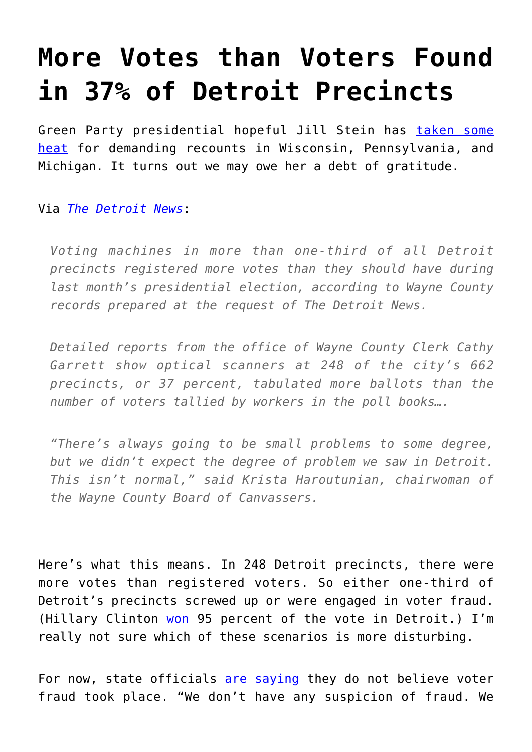## **[More Votes than Voters Found](https://intellectualtakeout.org/2016/12/more-votes-than-voters-found-in-37-of-detroit-precincts/) [in 37% of Detroit Precincts](https://intellectualtakeout.org/2016/12/more-votes-than-voters-found-in-37-of-detroit-precincts/)**

Green Party presidential hopeful Jill Stein has [taken some](http://time.com/4592583/jill-stein-recount-democrats-liberals/) [heat](http://time.com/4592583/jill-stein-recount-democrats-liberals/) for demanding recounts in Wisconsin, Pennsylvania, and Michigan. It turns out we may owe her a debt of gratitude.

## Via *[The Detroit News](http://www.detroitnews.com/story/news/politics/2016/12/12/records-many-votes-detroits-precincts/95363314/)*:

*Voting machines in more than one-third of all Detroit precincts registered more votes than they should have during last month's presidential election, according to Wayne County records prepared at the request of The Detroit News.*

*Detailed reports from the office of Wayne County Clerk Cathy Garrett show optical scanners at 248 of the city's 662 precincts, or 37 percent, tabulated more ballots than the number of voters tallied by workers in the poll books….*

*"There's always going to be small problems to some degree, but we didn't expect the degree of problem we saw in Detroit. This isn't normal," said Krista Haroutunian, chairwoman of the Wayne County Board of Canvassers.*

Here's what this means. In 248 Detroit precincts, there were more votes than registered voters. So either one-third of Detroit's precincts screwed up or were engaged in voter fraud. (Hillary Clinton [won](https://www.nytimes.com/aponline/2016/12/12/us/politics/ap-us-election-recount-michigan-audit.html?mtrref=www.google.com&gwh=535B8B87F5EF869AFA80CD9AF4576163&gwt=pay&_r=0) 95 percent of the vote in Detroit.) I'm really not sure which of these scenarios is more disturbing.

For now, state officials [are saying](http://www.freep.com/story/news/politics/2016/12/12/michigans-elections-bureau-audit-detroit-precincts/95349562/) they do not believe voter fraud took place. "We don't have any suspicion of fraud. We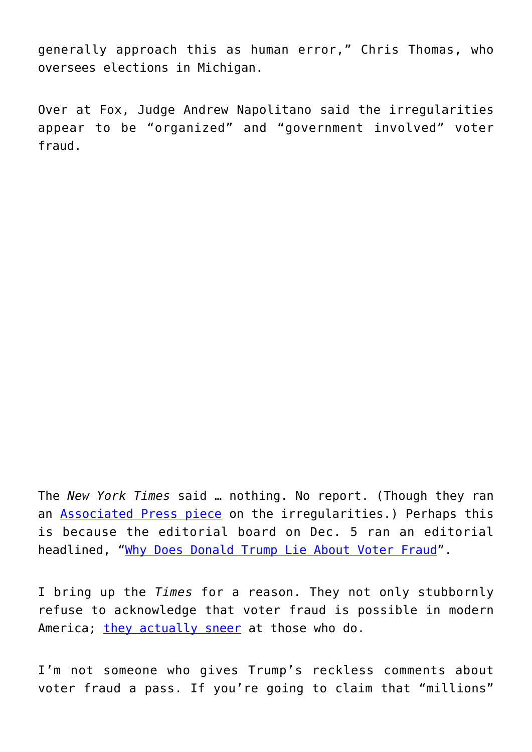generally approach this as human error," Chris Thomas, who oversees elections in Michigan.

Over at Fox, Judge Andrew Napolitano said the irregularities appear to be "organized" and "government involved" voter fraud.

The *New York Times* said … nothing. No report. (Though they ran an **Associated Press piece** on the irregularities.) Perhaps this is because the editorial board on Dec. 5 ran an editorial headlined, ["Why Does Donald Trump Lie About Voter Fraud"](https://www.nytimes.com/2016/12/05/opinion/why-does-donald-trump-lie-about-voter-fraud.html).

I bring up the *Times* for a reason. They not only stubbornly refuse to acknowledge that voter fraud is possible in modern America; *[they actually sneer](https://www.nytimes.com/2016/09/20/opinion/the-success-of-the-voter-fraud-myth.html)* at those who do.

I'm not someone who gives Trump's reckless comments about voter fraud a pass. If you're going to claim that "millions"